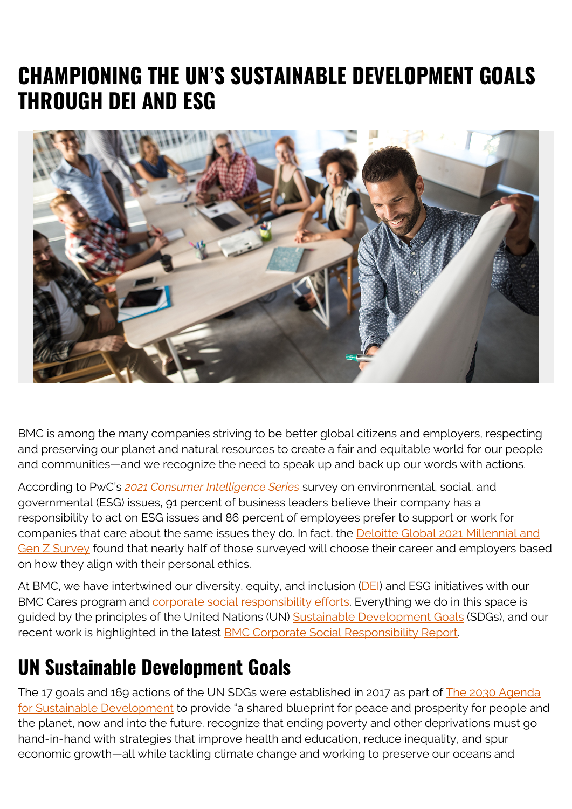## **CHAMPIONING THE UN'S SUSTAINABLE DEVELOPMENT GOALS THROUGH DEI AND ESG**



BMC is among the many companies striving to be better global citizens and employers, respecting and preserving our planet and natural resources to create a fair and equitable world for our people and communities—and we recognize the need to speak up and back up our words with actions.

According to PwC's *[2021 Consumer Intelligence Series](https://www.pwc.com/us/en/services/consulting/library/consumer-intelligence-series/consumer-and-employee-esg-expectations.html)* survey on environmental, social, and governmental (ESG) issues, 91 percent of business leaders believe their company has a responsibility to act on ESG issues and 86 percent of employees prefer to support or work for companies that care about the same issues they do. In fact, the [Deloitte Global 2021 Millennial and](https://www2.deloitte.com/global/en/pages/about-deloitte/articles/millennialsurvey.html) [Gen Z Survey](https://www2.deloitte.com/global/en/pages/about-deloitte/articles/millennialsurvey.html) found that nearly half of those surveyed will choose their career and employers based on how they align with their personal ethics.

At BMC, we have intertwined our diversity, equity, and inclusion [\(DEI](https://blogs.bmc.com/blogs/tags/dei/)) and ESG initiatives with our BMC Cares program and **corporate social responsibility efforts**. Everything we do in this space is guided by the principles of the United Nations (UN) [Sustainable Development Goals](https://sdgs.un.org/) (SDGs), and our recent work is highlighted in the latest **BMC Corporate Social Responsibility Report**.

#### **UN Sustainable Development Goals**

The 17 goals and 169 actions of the UN SDGs were established in 2017 as part of [The 2030 Agenda](https://web.archive.org/web/20210723064803/https://sustainabledevelopment.un.org/post2015/transformingourworld) [for Sustainable Development](https://web.archive.org/web/20210723064803/https://sustainabledevelopment.un.org/post2015/transformingourworld) to provide "a shared blueprint for peace and prosperity for people and the planet, now and into the future. recognize that ending poverty and other deprivations must go hand-in-hand with strategies that improve health and education, reduce inequality, and spur economic growth—all while tackling climate change and working to preserve our oceans and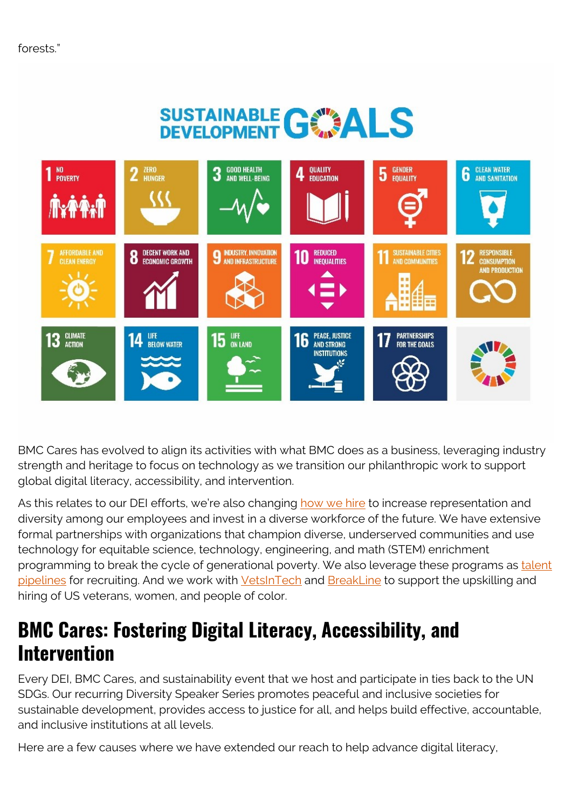## SUSTAINABLE GONALS



BMC Cares has evolved to align its activities with what BMC does as a business, leveraging industry strength and heritage to focus on technology as we transition our philanthropic work to support global digital literacy, accessibility, and intervention.

As this relates to our DEI efforts, we're also changing [how we hire](https://www.linkedin.com/company/bmc-software/life/diversityinclusionbelonging/) to increase representation and diversity among our employees and invest in a diverse workforce of the future. We have extensive formal partnerships with organizations that champion diverse, underserved communities and use technology for equitable science, technology, engineering, and math (STEM) enrichment programming to break the cycle of generational poverty. We also leverage these programs as [talent](https://blogs.bmc.com/blogs/digital-literacy-upskilling/) [pipelines](https://blogs.bmc.com/blogs/digital-literacy-upskilling/) for recruiting. And we work with [VetsInTech](https://vetsintech.co/) and [BreakLine](https://breakline.org/) to support the upskilling and hiring of US veterans, women, and people of color.

#### **BMC Cares: Fostering Digital Literacy, Accessibility, and Intervention**

Every DEI, BMC Cares, and sustainability event that we host and participate in ties back to the UN SDGs. Our recurring Diversity Speaker Series promotes peaceful and inclusive societies for sustainable development, provides access to justice for all, and helps build effective, accountable, and inclusive institutions at all levels.

Here are a few causes where we have extended our reach to help advance digital literacy,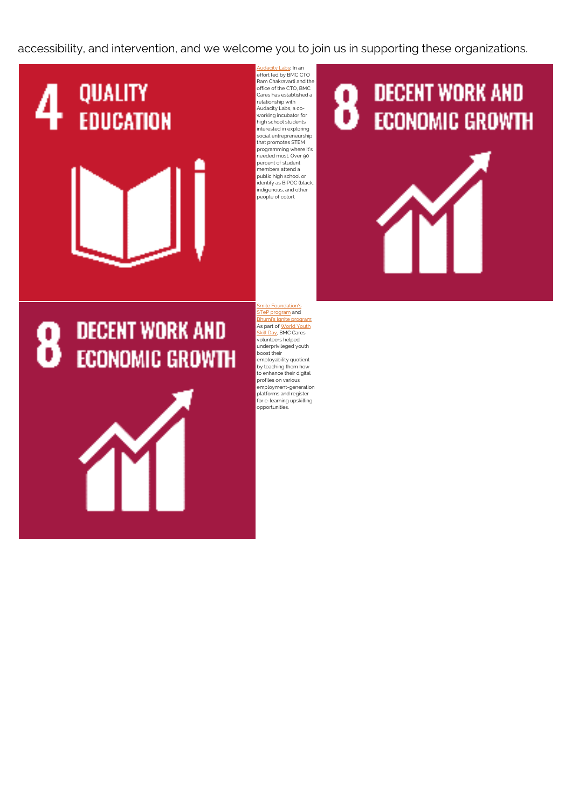accessibility, and intervention, and we welcome you to join us in supporting these organizations.

# QUALITY **EDUCATION**

[Audacity Labs](https://www.audacitylabs.org/)**:** In an effort led by BMC CTO Ram Chakravarti and the office of the CTO, BMC Cares has established a relationship with Audacity Labs, a coworking incubator for high school students interested in exploring social entrepreneurship that promotes STEM programming where it's needed most. Over 90 percent of student members attend a public high school or identify as BIPOC (black, indigenous, and other people of color).

## **DECENT WORK AND ECONOMIC GROWTH**



## **DECENT WORK AND ECONOMIC GROWTH**



[Smile Foundation's](https://www.smilefoundationindia.org/e_learning.html) [STeP program](https://www.smilefoundationindia.org/e_learning.html) and [Bhumi's Ignite program](https://bhumi.ngo/programmes/ignite/skills/): As part of <u>World Youth</u> [Skill Day](https://www.un.org/en/observances/world-youth-skills-day), BMC Cares volunteers helped underprivileged youth boost their employability quotient by teaching them how to enhance their digital profiles on various employment-generation platforms and register for e-learning upskilling opportunities.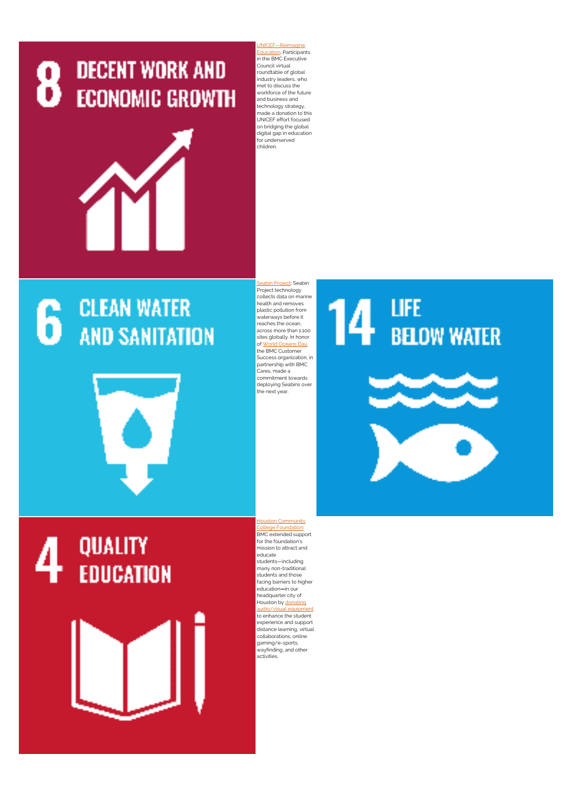



NICEF—Reimagine [Education](https://www.unicef.org/reimagine/education). Participants in the BMC Executive Council virtual roundtable of global industry leaders, who met to discuss the workforce of the future and business and technology strategy, made a donation to this UNICEF effort focused on bridging the global digital gap in education for underserved children.

#### **CLEAN WATER** 6 **AND SANITATION**

plastic pollution from waterways before it reaches the ocean, across more than 1,100 sites globally. In honor of [World Oceans Day,](https://www.un.org/en/observances/oceans-day) the BMC Customer Success organization, in partnership with BMC Cares, made a commitment towards deploying Seabins over the next year.

**bin Project: Seabin** Project technology collects data on marine health and removes

## **LIFE BELOW WATER**

**QUALITY EDUCATION**